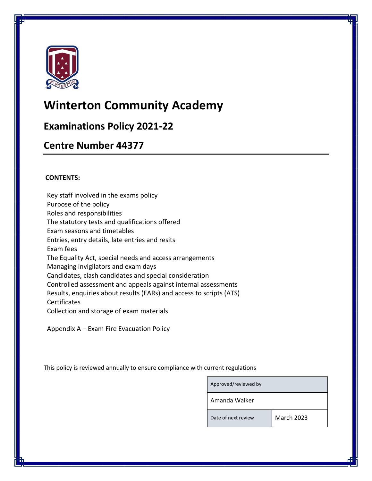

# **Winterton Community Academy**

## **Examinations Policy 2021-22**

## **Centre Number 44377**

## **CONTENTS:**

Key staff involved in the exams policy Purpose of the policy Roles and responsibilities The statutory tests and qualifications offered Exam seasons and timetables Entries, entry details, late entries and resits Exam fees The Equality Act, special needs and access arrangements Managing invigilators and exam days Candidates, clash candidates and special consideration Controlled assessment and appeals against internal assessments Results, enquiries about results (EARs) and access to scripts (ATS) Certificates Collection and storage of exam materials

Appendix A – Exam Fire Evacuation Policy

This policy is reviewed annually to ensure compliance with current regulations

| Approved/reviewed by |            |
|----------------------|------------|
| Amanda Walker        |            |
| Date of next review  | March 2023 |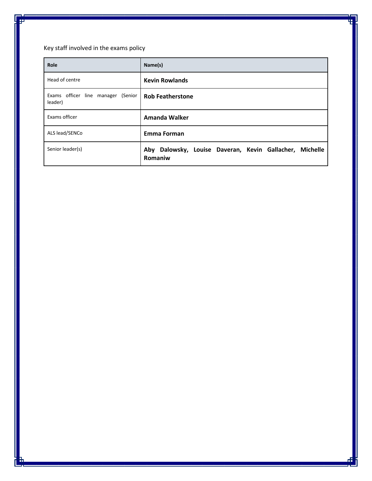Key staff involved in the exams policy

| Role                                          | Name(s)                                                               |
|-----------------------------------------------|-----------------------------------------------------------------------|
| Head of centre                                | <b>Kevin Rowlands</b>                                                 |
| Exams officer line manager (Senior<br>leader) | <b>Rob Featherstone</b>                                               |
| Exams officer                                 | Amanda Walker                                                         |
| ALS lead/SENCo                                | <b>Emma Forman</b>                                                    |
| Senior leader(s)                              | Aby Dalowsky, Louise Daveran, Kevin Gallacher,<br>Michelle<br>Romaniw |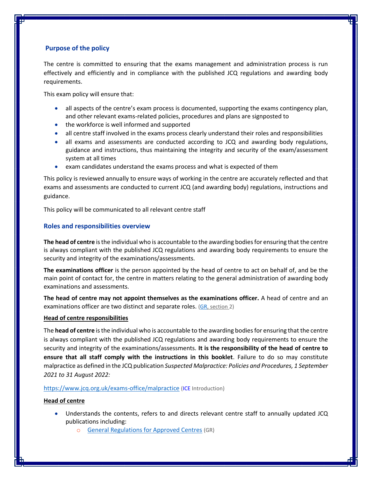### **Purpose of the policy**

The centre is committed to ensuring that the exams management and administration process is run effectively and efficiently and in compliance with the published JCQ regulations and awarding body requirements.

This exam policy will ensure that:

- all aspects of the centre's exam process is documented, supporting the exams contingency plan, and other relevant exams-related policies, procedures and plans are signposted to
- the workforce is well informed and supported
- all centre staff involved in the exams process clearly understand their roles and responsibilities
- all exams and assessments are conducted according to JCQ and awarding body regulations, guidance and instructions, thus maintaining the integrity and security of the exam/assessment system at all times
- exam candidates understand the exams process and what is expected of them

This policy is reviewed annually to ensure ways of working in the centre are accurately reflected and that exams and assessments are conducted to current JCQ (and awarding body) regulations, instructions and guidance.

This policy will be communicated to all relevant centre staff

#### **Roles and responsibilities overview**

**The head of centre** is the individual who is accountable to the awarding bodies for ensuring that the centre is always compliant with the published JCQ regulations and awarding body requirements to ensure the security and integrity of the examinations/assessments.

**The examinations officer** is the person appointed by the head of centre to act on behalf of, and be the main point of contact for, the centre in matters relating to the general administration of awarding body examinations and assessments.

**The head of centre may not appoint themselves as the examinations officer.** A head of centre and an examinations officer are two distinct and separate roles. [\(GR,](http://www.jcq.org.uk/exams-office/general-regulations) section 2)

#### **Head of centre responsibilities**

The **head of centre** is the individual who is accountable to the awarding bodies for ensuring that the centre is always compliant with the published JCQ regulations and awarding body requirements to ensure the security and integrity of the examinations/assessments. **It is the responsibility of the head of centre to ensure that all staff comply with the instructions in this booklet**. Failure to do so may constitute malpractice as defined in the JCQ publication *Suspected Malpractice: Policies and Procedures, 1 September 2021 to 31 August 2022:* 

#### <https://www.jcq.org.uk/exams-office/malpractice> [\(ICE](http://www.jcq.org.uk/exams-office/ice---instructions-for-conducting-examinations) Introduction)

#### **Head of centre**

- Understands the contents, refers to and directs relevant centre staff to annually updated JCQ publications including:
	- o [General Regulations for Approved Centres](http://www.jcq.org.uk/exams-office/general-regulations) (GR)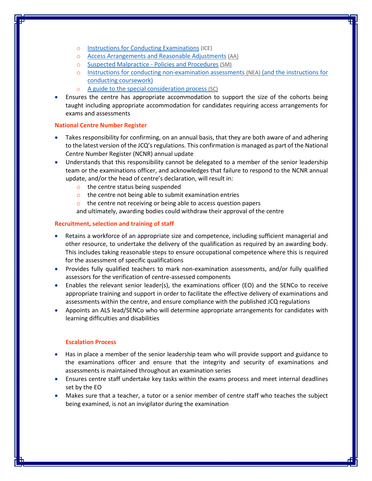- o [Instructions for Conducting Examinations](http://www.jcq.org.uk/exams-office/ice---instructions-for-conducting-examinations) (ICE)
- o [Access Arrangements and Reasonable Adjustments](http://www.jcq.org.uk/exams-office/access-arrangements-and-special-consideration/regulations-and-guidance) (AA)
- o [Suspected Malpractice -](http://www.jcq.org.uk/exams-office/malpractice) Policies and Procedures (SM)
- o Instructions for [conducting non-examination assessments](http://www.jcq.org.uk/exams-office/non-examination-assessments) (NEA) (and the instructions for conducting coursework)
- o [A guide to the special consideration process](http://www.jcq.org.uk/exams-office/access-arrangements-and-special-consideration/regulations-and-guidance) (SC)
- Ensures the centre has appropriate accommodation to support the size of the cohorts being taught including appropriate accommodation for candidates requiring access arrangements for exams and assessments

#### **National Centre Number Register**

- Takes responsibility for confirming, on an annual basis, that they are both aware of and adhering to the latest version of the JCQ's regulations. This confirmation is managed as part of the National Centre Number Register (NCNR) annual update
- Understands that this responsibility cannot be delegated to a member of the senior leadership team or the examinations officer, and acknowledges that failure to respond to the NCNR annual update, and/or the head of centre's declaration, will result in:
	- o the centre status being suspended
	- $\circ$  the centre not being able to submit examination entries
	- o the centre not receiving or being able to access question papers

and ultimately, awarding bodies could withdraw their approval of the centre

#### **Recruitment, selection and training of staff**

- Retains a workforce of an appropriate size and competence, including sufficient managerial and other resource, to undertake the delivery of the qualification as required by an awarding body. This includes taking reasonable steps to ensure occupational competence where this is required for the assessment of specific qualifications
- Provides fully qualified teachers to mark non-examination assessments, and/or fully qualified assessors for the verification of centre-assessed components
- Enables the relevant senior leader(s), the examinations officer (EO) and the SENCo to receive appropriate training and support in order to facilitate the effective delivery of examinations and assessments within the centre, and ensure compliance with the published JCQ regulations
- Appoints an ALS lead/SENCo who will determine appropriate arrangements for candidates with learning difficulties and disabilities

#### **Escalation Process**

- Has in place a member of the senior leadership team who will provide support and guidance to the examinations officer and ensure that the integrity and security of examinations and assessments is maintained throughout an examination series
- Ensures centre staff undertake key tasks within the exams process and meet internal deadlines set by the EO
- Makes sure that a teacher, a tutor or a senior member of centre staff who teaches the subject being examined, is not an invigilator during the examination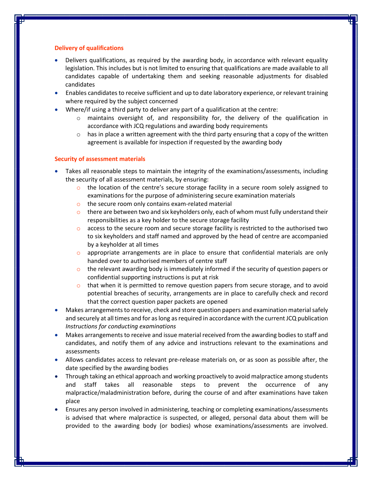#### **Delivery of qualifications**

- Delivers qualifications, as required by the awarding body, in accordance with relevant equality legislation. This includes but is not limited to ensuring that qualifications are made available to all candidates capable of undertaking them and seeking reasonable adjustments for disabled candidates
- Enables candidates to receive sufficient and up to date laboratory experience, or relevant training where required by the subject concerned
- Where/if using a third party to deliver any part of a qualification at the centre:
	- $\circ$  maintains oversight of, and responsibility for, the delivery of the qualification in accordance with JCQ regulations and awarding body requirements
	- $\circ$  has in place a written agreement with the third party ensuring that a copy of the written agreement is available for inspection if requested by the awarding body

#### **Security of assessment materials**

- Takes all reasonable steps to maintain the integrity of the examinations/assessments, including the security of all assessment materials, by ensuring:
	- $\circ$  the location of the centre's secure storage facility in a secure room solely assigned to examinations for the purpose of administering secure examination materials
	- o the secure room only contains exam-related material
	- $\circ$  there are between two and six keyholders only, each of whom must fully understand their responsibilities as a key holder to the secure storage facility
	- $\circ$  access to the secure room and secure storage facility is restricted to the authorised two to six keyholders and staff named and approved by the head of centre are accompanied by a keyholder at all times
	- $\circ$  appropriate arrangements are in place to ensure that confidential materials are only handed over to authorised members of centre staff
	- $\circ$  the relevant awarding body is immediately informed if the security of question papers or confidential supporting instructions is put at risk
	- $\circ$  that when it is permitted to remove question papers from secure storage, and to avoid potential breaches of security, arrangements are in place to carefully check and record that the correct question paper packets are opened
- Makes arrangements to receive, check and store question papers and examination material safely and securely at all times and for as long as required in accordance with the current JCQ publication *Instructions for conducting examinations*
- Makes arrangements to receive and issue material received from the awarding bodies to staff and candidates, and notify them of any advice and instructions relevant to the examinations and assessments
- Allows candidates access to relevant pre-release materials on, or as soon as possible after, the date specified by the awarding bodies
- Through taking an ethical approach and working proactively to avoid malpractice among students and staff takes all reasonable steps to prevent the occurrence of any malpractice/maladministration before, during the course of and after examinations have taken place
- Ensures any person involved in administering, teaching or completing examinations/assessments is advised that where malpractice is suspected, or alleged, personal data about them will be provided to the awarding body (or bodies) whose examinations/assessments are involved.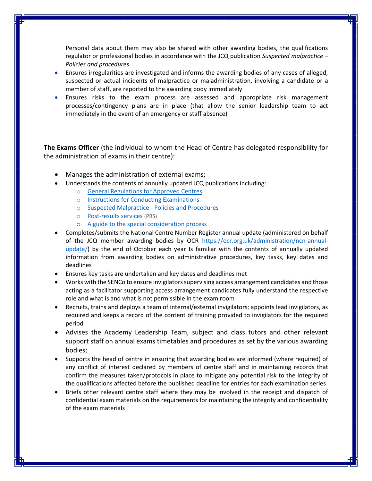Personal data about them may also be shared with other awarding bodies, the qualifications regulator or professional bodies in accordance with the JCQ publication *Suspected malpractice – Policies and procedures*

- Ensures irregularities are investigated and informs the awarding bodies of any cases of alleged, suspected or actual incidents of malpractice or maladministration, involving a candidate or a member of staff, are reported to the awarding body immediately
- Ensures risks to the exam process are assessed and appropriate risk management processes/contingency plans are in place (that allow the senior leadership team to act immediately in the event of an emergency or staff absence)

**The Exams Officer** (the individual to whom the Head of Centre has delegated responsibility for the administration of exams in their centre):

- Manages the administration of external exams;
- Understands the contents of annually updated JCQ publications including:
	- o [General Regulations for Approved Centres](http://www.jcq.org.uk/exams-office/general-regulations)
	- o [Instructions for Conducting Examinations](http://www.jcq.org.uk/exams-office/ice---instructions-for-conducting-examinations)
	- o [Suspected Malpractice -](http://www.jcq.org.uk/exams-office/malpractice) Policies and Procedures
	- o [Post-results services](http://www.jcq.org.uk/exams-office/post-results-services) (PRS)
	- o [A guide to the special consideration process](https://www.jcq.org.uk/exams-office/access-arrangements-and-special-consideration/regulations-and-guidance/)
- Completes/submits the National Centre Number Register annual update (administered on behalf of the JCQ member awarding bodies by OCR [https://ocr.org.uk/administration/ncn-annual](https://ocr.org.uk/administration/ncn-annual-update/)[update/\)](https://ocr.org.uk/administration/ncn-annual-update/) by the end of October each year Is familiar with the contents of annually updated information from awarding bodies on administrative procedures, key tasks, key dates and deadlines
- Ensures key tasks are undertaken and key dates and deadlines met
- Works with the SENCo to ensure invigilators supervising access arrangement candidates and those acting as a facilitator supporting access arrangement candidates fully understand the respective role and what is and what is not permissible in the exam room
- Recruits, trains and deploys a team of internal/external invigilators; appoints lead invigilators, as required and keeps a record of the content of training provided to invigilators for the required period
- Advises the Academy Leadership Team, subject and class tutors and other relevant support staff on annual exams timetables and procedures as set by the various awarding bodies;
- Supports the head of centre in ensuring that awarding bodies are informed (where required) of any conflict of interest declared by members of centre staff and in maintaining records that confirm the measures taken/protocols in place to mitigate any potential risk to the integrity of the qualifications affected before the published deadline for entries for each examination series
- Briefs other relevant centre staff where they may be involved in the receipt and dispatch of confidential exam materials on the requirements for maintaining the integrity and confidentiality of the exam materials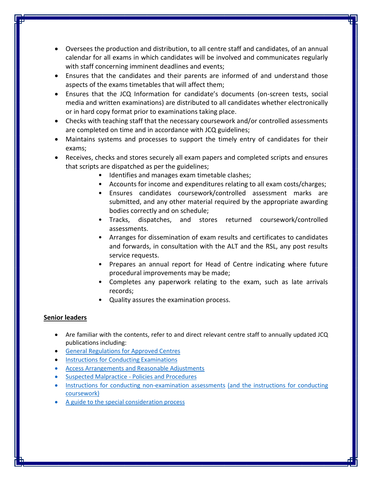- Oversees the production and distribution, to all centre staff and candidates, of an annual calendar for all exams in which candidates will be involved and communicates regularly with staff concerning imminent deadlines and events;
- Ensures that the candidates and their parents are informed of and understand those aspects of the exams timetables that will affect them;
- Ensures that the JCQ Information for candidate's documents (on-screen tests, social media and written examinations) are distributed to all candidates whether electronically or in hard copy format prior to examinations taking place.
- Checks with teaching staff that the necessary coursework and/or controlled assessments are completed on time and in accordance with JCQ guidelines;
- Maintains systems and processes to support the timely entry of candidates for their exams;
- Receives, checks and stores securely all exam papers and completed scripts and ensures that scripts are dispatched as per the guidelines;
	- Identifies and manages exam timetable clashes;
	- Accounts for income and expenditures relating to all exam costs/charges;
	- Ensures candidates coursework/controlled assessment marks are submitted, and any other material required by the appropriate awarding bodies correctly and on schedule;
	- Tracks, dispatches, and stores returned coursework/controlled assessments.
	- Arranges for dissemination of exam results and certificates to candidates and forwards, in consultation with the ALT and the RSL, any post results service requests.
	- Prepares an annual report for Head of Centre indicating where future procedural improvements may be made;
	- Completes any paperwork relating to the exam, such as late arrivals records;
	- Quality assures the examination process.

## **Senior leaders**

- Are familiar with the contents, refer to and direct relevant centre staff to annually updated JCQ publications including:
- [General Regulations for Approved Centres](http://www.jcq.org.uk/exams-office/general-regulations)
- [Instructions for Conducting Examinations](http://www.jcq.org.uk/exams-office/ice---instructions-for-conducting-examinations)
- [Access Arrangements and Reasonable Adjustments](http://www.jcq.org.uk/exams-office/access-arrangements-and-special-consideration/regulations-and-guidance)
- [Suspected Malpractice -](http://www.jcq.org.uk/exams-office/malpractice) Policies and Procedures
- [Instructions for conducting non-examination assessments](http://www.jcq.org.uk/exams-office/non-examination-assessments) (and the instructions for conducting coursework)
- [A guide to the special consideration process](http://www.jcq.org.uk/exams-office/access-arrangements-and-special-consideration/regulations-and-guidance)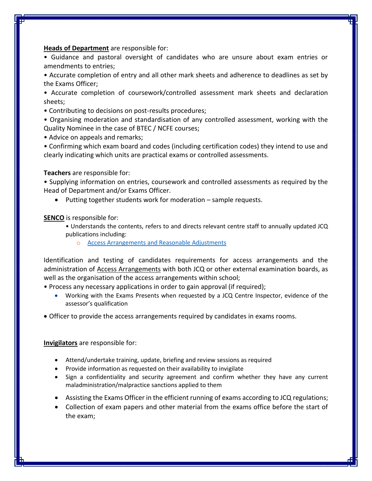#### **Heads of Department** are responsible for:

• Guidance and pastoral oversight of candidates who are unsure about exam entries or amendments to entries;

• Accurate completion of entry and all other mark sheets and adherence to deadlines as set by the Exams Officer;

• Accurate completion of coursework/controlled assessment mark sheets and declaration sheets;

- Contributing to decisions on post-results procedures;
- Organising moderation and standardisation of any controlled assessment, working with the Quality Nominee in the case of BTEC / NCFE courses;
- Advice on appeals and remarks;

• Confirming which exam board and codes (including certification codes) they intend to use and clearly indicating which units are practical exams or controlled assessments.

**Teachers** are responsible for:

• Supplying information on entries, coursework and controlled assessments as required by the Head of Department and/or Exams Officer.

• Putting together students work for moderation – sample requests.

**SENCO** is responsible for:

- Understands the contents, refers to and directs relevant centre staff to annually updated JCQ publications including:
	- [Access Arrangements and Reasonable Adjustments](http://www.jcq.org.uk/exams-office/access-arrangements-and-special-consideration/regulations-and-guidance)

Identification and testing of candidates requirements for access arrangements and the administration of [Access Arrangements](https://www.jcq.org.uk/exams-office/access-arrangements-and-special-consideration) with both JCQ or other external examination boards, as well as the organisation of the access arrangements within school;

- Process any necessary applications in order to gain approval (if required);
	- Working with the Exams Presents when requested by a JCQ Centre Inspector, evidence of the assessor's qualification
- Officer to provide the access arrangements required by candidates in exams rooms.

**Invigilators** are responsible for:

- Attend/undertake training, update, briefing and review sessions as required
- Provide information as requested on their availability to invigilate
- Sign a confidentiality and security agreement and confirm whether they have any current maladministration/malpractice sanctions applied to them
- Assisting the Exams Officer in the efficient running of exams according to JCQ regulations;
- Collection of exam papers and other material from the exams office before the start of the exam;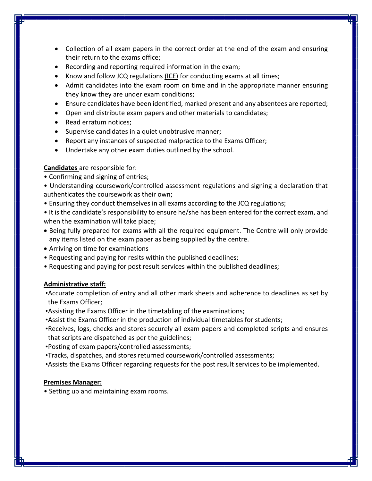- Collection of all exam papers in the correct order at the end of the exam and ensuring their return to the exams office;
- Recording and reporting required information in the exam;
- Know and follow JCQ regulations [\(ICE\)](https://www.jcq.org.uk/exams-office/ice---instructions-for-conducting-examinations) for conducting exams at all times;
- Admit candidates into the exam room on time and in the appropriate manner ensuring they know they are under exam conditions;
- Ensure candidates have been identified, marked present and any absentees are reported;
- Open and distribute exam papers and other materials to candidates;
- Read erratum notices;
- Supervise candidates in a quiet unobtrusive manner;
- Report any instances of suspected malpractice to the Exams Officer;
- Undertake any other exam duties outlined by the school.

#### **Candidates** are responsible for:

• Confirming and signing of entries;

• Understanding coursework/controlled assessment regulations and signing a declaration that authenticates the coursework as their own;

- Ensuring they conduct themselves in all exams according to the JCQ regulations;
- It is the candidate's responsibility to ensure he/she has been entered for the correct exam, and when the examination will take place;
- Being fully prepared for exams with all the required equipment. The Centre will only provide any items listed on the exam paper as being supplied by the centre.
- Arriving on time for examinations
- Requesting and paying for resits within the published deadlines;
- Requesting and paying for post result services within the published deadlines;

#### **Administrative staff:**

•Accurate completion of entry and all other mark sheets and adherence to deadlines as set by the Exams Officer;

- •Assisting the Exams Officer in the timetabling of the examinations;
- •Assist the Exams Officer in the production of individual timetables for students;
- •Receives, logs, checks and stores securely all exam papers and completed scripts and ensures that scripts are dispatched as per the guidelines;
- •Posting of exam papers/controlled assessments;
- •Tracks, dispatches, and stores returned coursework/controlled assessments;
- •Assists the Exams Officer regarding requests for the post result services to be implemented.

#### **Premises Manager:**

• Setting up and maintaining exam rooms.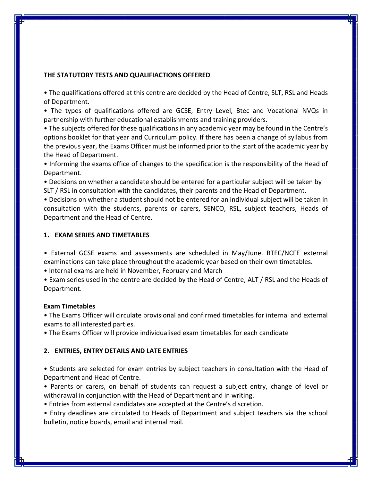#### **THE STATUTORY TESTS AND QUALIFIACTIONS OFFERED**

• The qualifications offered at this centre are decided by the Head of Centre, SLT, RSL and Heads of Department.

• The types of qualifications offered are GCSE, Entry Level, Btec and Vocational NVQs in partnership with further educational establishments and training providers.

• The subjects offered for these qualifications in any academic year may be found in the Centre's options booklet for that year and Curriculum policy. If there has been a change of syllabus from the previous year, the Exams Officer must be informed prior to the start of the academic year by the Head of Department.

• Informing the exams office of changes to the specification is the responsibility of the Head of Department.

• Decisions on whether a candidate should be entered for a particular subject will be taken by SLT / RSL in consultation with the candidates, their parents and the Head of Department.

• Decisions on whether a student should not be entered for an individual subject will be taken in consultation with the students, parents or carers, SENCO, RSL, subject teachers, Heads of Department and the Head of Centre.

#### **1. EXAM SERIES AND TIMETABLES**

• External GCSE exams and assessments are scheduled in May/June. BTEC/NCFE external examinations can take place throughout the academic year based on their own timetables.

• Internal exams are held in November, February and March

• Exam series used in the centre are decided by the Head of Centre, ALT / RSL and the Heads of Department.

#### **Exam Timetables**

• The Exams Officer will circulate provisional and confirmed timetables for internal and external exams to all interested parties.

• The Exams Officer will provide individualised exam timetables for each candidate

#### **2. ENTRIES, ENTRY DETAILS AND LATE ENTRIES**

• Students are selected for exam entries by subject teachers in consultation with the Head of Department and Head of Centre.

• Parents or carers, on behalf of students can request a subject entry, change of level or withdrawal in conjunction with the Head of Department and in writing.

• Entries from external candidates are accepted at the Centre's discretion.

• Entry deadlines are circulated to Heads of Department and subject teachers via the school bulletin, notice boards, email and internal mail.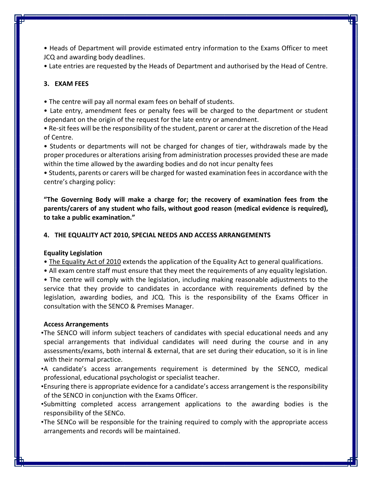• Heads of Department will provide estimated entry information to the Exams Officer to meet JCQ and awarding body deadlines.

• Late entries are requested by the Heads of Department and authorised by the Head of Centre.

## **3. EXAM FEES**

• The centre will pay all normal exam fees on behalf of students.

• Late entry, amendment fees or penalty fees will be charged to the department or student dependant on the origin of the request for the late entry or amendment.

• Re-sit fees will be the responsibility of the student, parent or carer at the discretion of the Head of Centre.

• Students or departments will not be charged for changes of tier, withdrawals made by the proper procedures or alterations arising from administration processes provided these are made within the time allowed by the awarding bodies and do not incur penalty fees

• Students, parents or carers will be charged for wasted examination fees in accordance with the centre's charging policy:

**"The Governing Body will make a charge for; the recovery of examination fees from the parents/carers of any student who fails, without good reason (medical evidence is required), to take a public examination."** 

#### **4. THE EQUALITY ACT 2010, SPECIAL NEEDS AND ACCESS ARRANGEMENTS**

#### **Equality Legislation**

- [The Equality Act of 2010](http://www.legislation.gov.uk/ukpga/2010/15/pdfs/ukpga_20100015_en.pdf) extends the application of the Equality Act to general qualifications.
- All exam centre staff must ensure that they meet the requirements of any equality legislation.
- The centre will comply with the legislation, including making reasonable adjustments to the service that they provide to candidates in accordance with requirements defined by the legislation, awarding bodies, and JCQ. This is the responsibility of the Exams Officer in consultation with the SENCO & Premises Manager.

#### **Access Arrangements**

- •The SENCO will inform subject teachers of candidates with special educational needs and any special arrangements that individual candidates will need during the course and in any assessments/exams, both internal & external, that are set during their education, so it is in line with their normal practice.
- •A candidate's access arrangements requirement is determined by the SENCO, medical professional, educational psychologist or specialist teacher.
- •Ensuring there is appropriate evidence for a candidate's access arrangement is the responsibility of the SENCO in conjunction with the Exams Officer.
- •Submitting completed access arrangement applications to the awarding bodies is the responsibility of the SENCo.
- •The SENCo will be responsible for the training required to comply with the appropriate access arrangements and records will be maintained.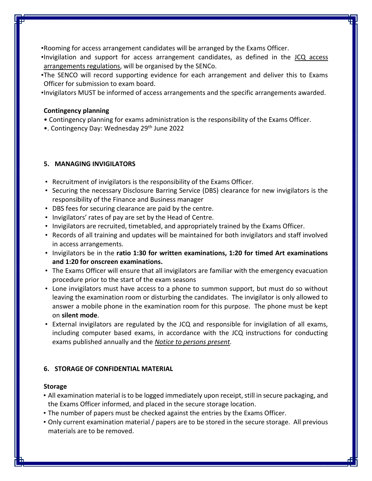- •Rooming for access arrangement candidates will be arranged by the Exams Officer.
- •Invigilation and support for access arrangement candidates, as defined in the [JCQ access](https://www.jcq.org.uk/exams-office/access-arrangements-and-special-consideration/regulations-and-guidance)  [arrangements regulations,](https://www.jcq.org.uk/exams-office/access-arrangements-and-special-consideration/regulations-and-guidance) will be organised by the SENCo.
- •The SENCO will record supporting evidence for each arrangement and deliver this to Exams Officer for submission to exam board.
- •Invigilators MUST be informed of access arrangements and the specific arrangements awarded.

## **Contingency planning**

- Contingency planning for exams administration is the responsibility of the Exams Officer.
- •. Contingency Day: Wednesday 29<sup>th</sup> June 2022

## **5. MANAGING INVIGILATORS**

- Recruitment of invigilators is the responsibility of the Exams Officer.
- Securing the necessary Disclosure Barring Service (DBS) clearance for new invigilators is the responsibility of the Finance and Business manager
- DBS fees for securing clearance are paid by the centre.
- Invigilators' rates of pay are set by the Head of Centre.
- Invigilators are recruited, timetabled, and appropriately trained by the Exams Officer.
- Records of all training and updates will be maintained for both invigilators and staff involved in access arrangements.
- Invigilators be in the **ratio 1:30 for written examinations, 1:20 for timed Art examinations and 1:20 for onscreen examinations.**
- The Exams Officer will ensure that all invigilators are familiar with the emergency evacuation procedure prior to the start of the exam seasons
- Lone invigilators must have access to a phone to summon support, but must do so without leaving the examination room or disturbing the candidates. The invigilator is only allowed to answer a mobile phone in the examination room for this purpose. The phone must be kept on **silent mode**.
- External invigilators are regulated by the JCQ and responsible for invigilation of all exams, including computer based exams, in accordance with the JCQ instructions for conducting exams published annually and the *[Notice to persons present.](https://www.jcq.org.uk/exams-office/ice---instructions-for-conducting-examinations/notice-to-centres---the-people-present)*

## **6. STORAGE OF CONFIDENTIAL MATERIAL**

## **Storage**

- All examination material is to be logged immediately upon receipt, still in secure packaging, and the Exams Officer informed, and placed in the secure storage location.
- The number of papers must be checked against the entries by the Exams Officer.
- Only current examination material / papers are to be stored in the secure storage. All previous materials are to be removed.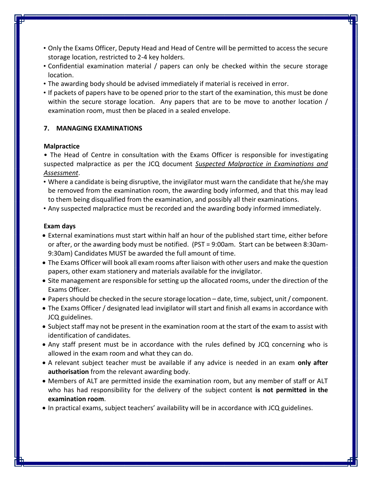- Only the Exams Officer, Deputy Head and Head of Centre will be permitted to access the secure storage location, restricted to 2-4 key holders.
- Confidential examination material / papers can only be checked within the secure storage location.
- The awarding body should be advised immediately if material is received in error.
- If packets of papers have to be opened prior to the start of the examination, this must be done within the secure storage location. Any papers that are to be move to another location / examination room, must then be placed in a sealed envelope.

## **7. MANAGING EXAMINATIONS**

## **Malpractice**

• The Head of Centre in consultation with the Exams Officer is responsible for investigating suspected malpractice as per the JCQ document *[Suspected Malpractice in Examinations and](https://www.jcq.org.uk/exams-office/malpractice)  [Assessment](https://www.jcq.org.uk/exams-office/malpractice)*.

- Where a candidate is being disruptive, the invigilator must warn the candidate that he/she may be removed from the examination room, the awarding body informed, and that this may lead to them being disqualified from the examination, and possibly all their examinations.
- Any suspected malpractice must be recorded and the awarding body informed immediately.

## **Exam days**

- External examinations must start within half an hour of the published start time, either before or after, or the awarding body must be notified. (PST = 9:00am. Start can be between 8:30am-9:30am) Candidates MUST be awarded the full amount of time.
- The Exams Officer will book all exam rooms after liaison with other users and make the question papers, other exam stationery and materials available for the invigilator.
- Site management are responsible for setting up the allocated rooms, under the direction of the Exams Officer.
- Papers should be checked in the secure storage location date, time, subject, unit / component.
- The Exams Officer / designated lead invigilator will start and finish all exams in accordance with JCQ guidelines.
- Subject staff may not be present in the examination room at the start of the exam to assist with identification of candidates.
- Any staff present must be in accordance with the rules defined by JCQ concerning who is allowed in the exam room and what they can do.
- A relevant subject teacher must be available if any advice is needed in an exam **only after authorisation** from the relevant awarding body.
- Members of ALT are permitted inside the examination room, but any member of staff or ALT who has had responsibility for the delivery of the subject content **is not permitted in the examination room**.
- In practical exams, subject teachers' availability will be in accordance with JCQ guidelines.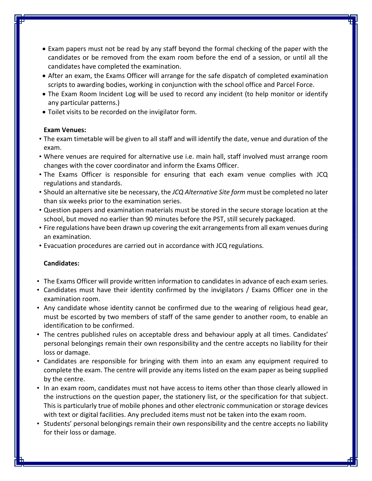- Exam papers must not be read by any staff beyond the formal checking of the paper with the candidates or be removed from the exam room before the end of a session, or until all the candidates have completed the examination.
- After an exam, the Exams Officer will arrange for the safe dispatch of completed examination scripts to awarding bodies, working in conjunction with the school office and Parcel Force.
- The Exam Room Incident Log will be used to record any incident (to help monitor or identify any particular patterns.)
- Toilet visits to be recorded on the invigilator form.

## **Exam Venues:**

- The exam timetable will be given to all staff and will identify the date, venue and duration of the exam.
- Where venues are required for alternative use i.e. main hall, staff involved must arrange room changes with the cover coordinator and inform the Exams Officer.
- The Exams Officer is responsible for ensuring that each exam venue complies with JCQ regulations and standards.
- Should an alternative site be necessary, the *JCQ Alternative Site form* must be completed no later than six weeks prior to the examination series.
- Question papers and examination materials must be stored in the secure storage location at the school, but moved no earlier than 90 minutes before the PST, still securely packaged.
- Fire regulations have been drawn up covering the exit arrangements from all exam venues during an examination.
- Evacuation procedures are carried out in accordance with JCQ regulations.

## **Candidates:**

- The Exams Officer will provide written information to candidates in advance of each exam series.
- Candidates must have their identity confirmed by the invigilators / Exams Officer one in the examination room.
- Any candidate whose identity cannot be confirmed due to the wearing of religious head gear, must be escorted by two members of staff of the same gender to another room, to enable an identification to be confirmed.
- The centres published rules on acceptable dress and behaviour apply at all times. Candidates' personal belongings remain their own responsibility and the centre accepts no liability for their loss or damage.
- Candidates are responsible for bringing with them into an exam any equipment required to complete the exam. The centre will provide any items listed on the exam paper as being supplied by the centre.
- In an exam room, candidates must not have access to items other than those clearly allowed in the instructions on the question paper, the stationery list, or the specification for that subject. This is particularly true of mobile phones and other electronic communication or storage devices with text or digital facilities. Any precluded items must not be taken into the exam room.
- Students' personal belongings remain their own responsibility and the centre accepts no liability for their loss or damage.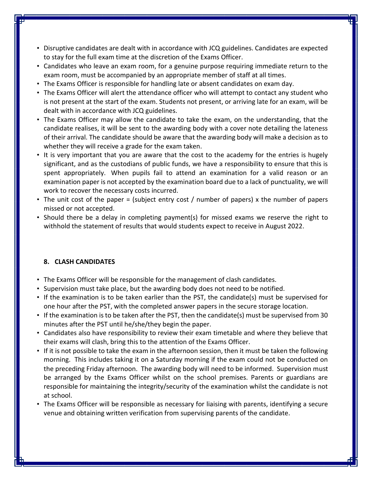- Disruptive candidates are dealt with in accordance with JCQ guidelines. Candidates are expected to stay for the full exam time at the discretion of the Exams Officer.
- Candidates who leave an exam room, for a genuine purpose requiring immediate return to the exam room, must be accompanied by an appropriate member of staff at all times.
- The Exams Officer is responsible for handling late or absent candidates on exam day.
- The Exams Officer will alert the attendance officer who will attempt to contact any student who is not present at the start of the exam. Students not present, or arriving late for an exam, will be dealt with in accordance with JCQ guidelines.
- The Exams Officer may allow the candidate to take the exam, on the understanding, that the candidate realises, it will be sent to the awarding body with a cover note detailing the lateness of their arrival. The candidate should be aware that the awarding body will make a decision as to whether they will receive a grade for the exam taken.
- It is very important that you are aware that the cost to the academy for the entries is hugely significant, and as the custodians of public funds, we have a responsibility to ensure that this is spent appropriately. When pupils fail to attend an examination for a valid reason or an examination paper is not accepted by the examination board due to a lack of punctuality, we will work to recover the necessary costs incurred.
- The unit cost of the paper = (subject entry cost / number of papers) x the number of papers missed or not accepted.
- Should there be a delay in completing payment(s) for missed exams we reserve the right to withhold the statement of results that would students expect to receive in August 2022.

## **8. CLASH CANDIDATES**

- The Exams Officer will be responsible for the management of clash candidates.
- Supervision must take place, but the awarding body does not need to be notified.
- If the examination is to be taken earlier than the PST, the candidate(s) must be supervised for one hour after the PST, with the completed answer papers in the secure storage location.
- If the examination is to be taken after the PST, then the candidate(s) must be supervised from 30 minutes after the PST until he/she/they begin the paper.
- Candidates also have responsibility to review their exam timetable and where they believe that their exams will clash, bring this to the attention of the Exams Officer.
- If it is not possible to take the exam in the afternoon session, then it must be taken the following morning. This includes taking it on a Saturday morning if the exam could not be conducted on the preceding Friday afternoon. The awarding body will need to be informed. Supervision must be arranged by the Exams Officer whilst on the school premises. Parents or guardians are responsible for maintaining the integrity/security of the examination whilst the candidate is not at school.
- The Exams Officer will be responsible as necessary for liaising with parents, identifying a secure venue and obtaining written verification from supervising parents of the candidate.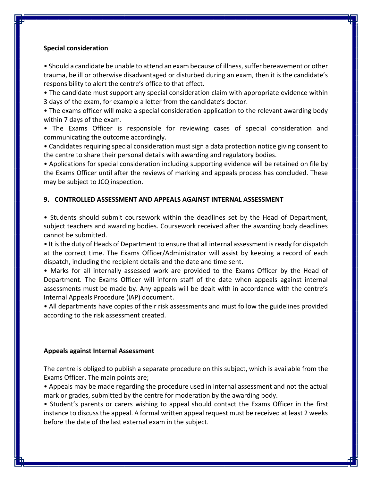#### **Special consideration**

• Should a candidate be unable to attend an exam because of illness, suffer bereavement or other trauma, be ill or otherwise disadvantaged or disturbed during an exam, then it is the candidate's responsibility to alert the centre's office to that effect.

• The candidate must support any special consideration claim with appropriate evidence within 3 days of the exam, for example a letter from the candidate's doctor.

• The exams officer will make a special consideration application to the relevant awarding body within 7 days of the exam.

• The Exams Officer is responsible for reviewing cases of special consideration and communicating the outcome accordingly.

• Candidates requiring special consideration must sign a data protection notice giving consent to the centre to share their personal details with awarding and regulatory bodies.

• Applications for special consideration including supporting evidence will be retained on file by the Exams Officer until after the reviews of marking and appeals process has concluded. These may be subject to JCQ inspection.

#### **9. CONTROLLED ASSESSMENT AND APPEALS AGAINST INTERNAL ASSESSMENT**

• Students should submit coursework within the deadlines set by the Head of Department, subject teachers and awarding bodies. Coursework received after the awarding body deadlines cannot be submitted.

• It is the duty of Heads of Department to ensure that all internal assessment is ready for dispatch at the correct time. The Exams Officer/Administrator will assist by keeping a record of each dispatch, including the recipient details and the date and time sent.

• Marks for all internally assessed work are provided to the Exams Officer by the Head of Department. The Exams Officer will inform staff of the date when appeals against internal assessments must be made by. Any appeals will be dealt with in accordance with the centre's Internal Appeals Procedure (IAP) document.

• All departments have copies of their risk assessments and must follow the guidelines provided according to the risk assessment created.

#### **Appeals against Internal Assessment**

The centre is obliged to publish a separate procedure on this subject, which is available from the Exams Officer. The main points are;

• Appeals may be made regarding the procedure used in internal assessment and not the actual mark or grades, submitted by the centre for moderation by the awarding body.

• Student's parents or carers wishing to appeal should contact the Exams Officer in the first instance to discuss the appeal. A formal written appeal request must be received at least 2 weeks before the date of the last external exam in the subject.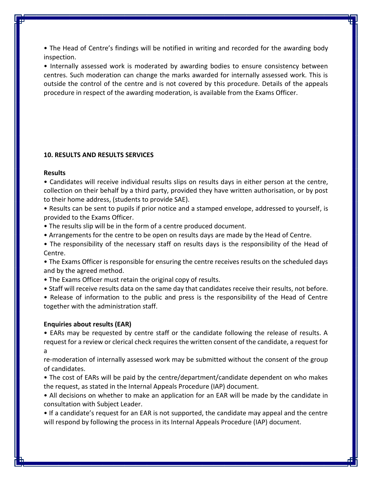• The Head of Centre's findings will be notified in writing and recorded for the awarding body inspection.

• Internally assessed work is moderated by awarding bodies to ensure consistency between centres. Such moderation can change the marks awarded for internally assessed work. This is outside the control of the centre and is not covered by this procedure. Details of the appeals procedure in respect of the awarding moderation, is available from the Exams Officer.

#### **10. RESULTS AND RESULTS SERVICES**

#### **Results**

• Candidates will receive individual results slips on results days in either person at the centre, collection on their behalf by a third party, provided they have written authorisation, or by post to their home address, (students to provide SAE).

• Results can be sent to pupils if prior notice and a stamped envelope, addressed to yourself, is provided to the Exams Officer.

• The results slip will be in the form of a centre produced document.

• Arrangements for the centre to be open on results days are made by the Head of Centre.

• The responsibility of the necessary staff on results days is the responsibility of the Head of Centre.

• The Exams Officer is responsible for ensuring the centre receives results on the scheduled days and by the agreed method.

• The Exams Officer must retain the original copy of results.

• Staff will receive results data on the same day that candidates receive their results, not before.

• Release of information to the public and press is the responsibility of the Head of Centre together with the administration staff.

#### **Enquiries about results (EAR)**

• EARs may be requested by centre staff or the candidate following the release of results. A request for a review or clerical check requires the written consent of the candidate, a request for a

re-moderation of internally assessed work may be submitted without the consent of the group of candidates.

• The cost of EARs will be paid by the centre/department/candidate dependent on who makes the request, as stated in the Internal Appeals Procedure (IAP) document.

• All decisions on whether to make an application for an EAR will be made by the candidate in consultation with Subject Leader.

• If a candidate's request for an EAR is not supported, the candidate may appeal and the centre will respond by following the process in its Internal Appeals Procedure (IAP) document.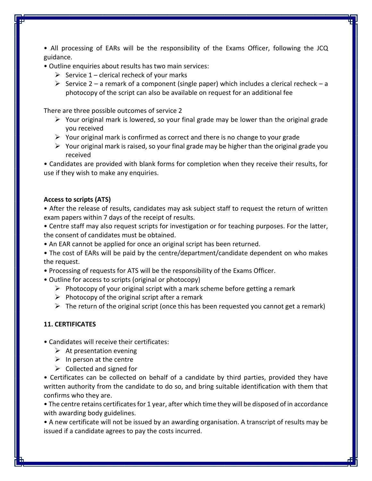• All processing of EARs will be the responsibility of the Exams Officer, following the JCQ guidance.

• Outline enquiries about results has two main services:

- $\triangleright$  Service 1 clerical recheck of your marks
- $\triangleright$  Service 2 a remark of a component (single paper) which includes a clerical recheck a photocopy of the script can also be available on request for an additional fee

There are three possible outcomes of service 2

- $\triangleright$  Your original mark is lowered, so your final grade may be lower than the original grade you received
- $\triangleright$  Your original mark is confirmed as correct and there is no change to your grade
- $\triangleright$  Your original mark is raised, so your final grade may be higher than the original grade you received

• Candidates are provided with blank forms for completion when they receive their results, for use if they wish to make any enquiries.

### **Access to scripts (ATS)**

• After the release of results, candidates may ask subject staff to request the return of written exam papers within 7 days of the receipt of results.

• Centre staff may also request scripts for investigation or for teaching purposes. For the latter, the consent of candidates must be obtained.

• An EAR cannot be applied for once an original script has been returned.

• The cost of EARs will be paid by the centre/department/candidate dependent on who makes the request.

- Processing of requests for ATS will be the responsibility of the Exams Officer.
- Outline for access to scripts (original or photocopy)
	- $\triangleright$  Photocopy of your original script with a mark scheme before getting a remark
	- $\triangleright$  Photocopy of the original script after a remark
	- $\triangleright$  The return of the original script (once this has been requested you cannot get a remark)

## **11. CERTIFICATES**

• Candidates will receive their certificates:

- $\triangleright$  At presentation evening
- $\triangleright$  In person at the centre
- $\triangleright$  Collected and signed for

• Certificates can be collected on behalf of a candidate by third parties, provided they have written authority from the candidate to do so, and bring suitable identification with them that confirms who they are.

• The centre retains certificates for 1 year, after which time they will be disposed of in accordance with awarding body guidelines.

• A new certificate will not be issued by an awarding organisation. A transcript of results may be issued if a candidate agrees to pay the costs incurred.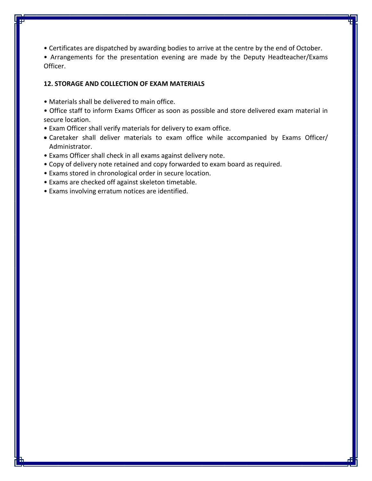• Certificates are dispatched by awarding bodies to arrive at the centre by the end of October.

• Arrangements for the presentation evening are made by the Deputy Headteacher/Exams Officer.

#### **12. STORAGE AND COLLECTION OF EXAM MATERIALS**

- Materials shall be delivered to main office.
- Office staff to inform Exams Officer as soon as possible and store delivered exam material in secure location.
- Exam Officer shall verify materials for delivery to exam office.
- Caretaker shall deliver materials to exam office while accompanied by Exams Officer/ Administrator.
- Exams Officer shall check in all exams against delivery note.
- Copy of delivery note retained and copy forwarded to exam board as required.
- Exams stored in chronological order in secure location.
- Exams are checked off against skeleton timetable.
- Exams involving erratum notices are identified.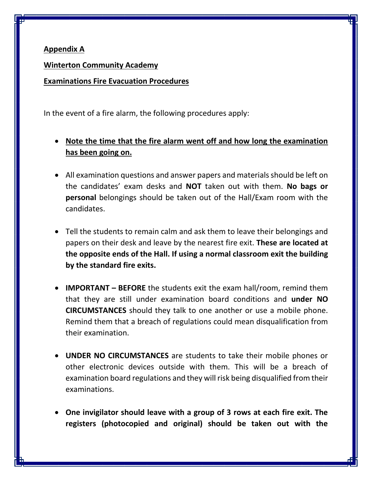## **Appendix A**

**Winterton Community Academy**

**Examinations Fire Evacuation Procedures**

In the event of a fire alarm, the following procedures apply:

- **Note the time that the fire alarm went off and how long the examination has been going on.**
- All examination questions and answer papers and materials should be left on the candidates' exam desks and **NOT** taken out with them. **No bags or personal** belongings should be taken out of the Hall/Exam room with the candidates.
- Tell the students to remain calm and ask them to leave their belongings and papers on their desk and leave by the nearest fire exit. **These are located at the opposite ends of the Hall. If using a normal classroom exit the building by the standard fire exits.**
- **IMPORTANT – BEFORE** the students exit the exam hall/room, remind them that they are still under examination board conditions and **under NO CIRCUMSTANCES** should they talk to one another or use a mobile phone. Remind them that a breach of regulations could mean disqualification from their examination.
- **UNDER NO CIRCUMSTANCES** are students to take their mobile phones or other electronic devices outside with them. This will be a breach of examination board regulations and they will risk being disqualified from their examinations.
- **One invigilator should leave with a group of 3 rows at each fire exit. The registers (photocopied and original) should be taken out with the**